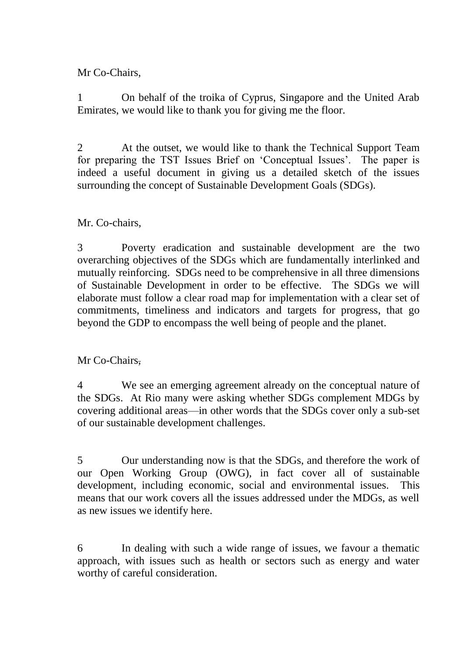Mr Co-Chairs,

1 On behalf of the troika of Cyprus, Singapore and the United Arab Emirates, we would like to thank you for giving me the floor.

2 At the outset, we would like to thank the Technical Support Team for preparing the TST Issues Brief on 'Conceptual Issues'. The paper is indeed a useful document in giving us a detailed sketch of the issues surrounding the concept of Sustainable Development Goals (SDGs).

## Mr. Co-chairs,

3 Poverty eradication and sustainable development are the two overarching objectives of the SDGs which are fundamentally interlinked and mutually reinforcing. SDGs need to be comprehensive in all three dimensions of Sustainable Development in order to be effective. The SDGs we will elaborate must follow a clear road map for implementation with a clear set of commitments, timeliness and indicators and targets for progress, that go beyond the GDP to encompass the well being of people and the planet.

Mr Co-Chairs,

4 We see an emerging agreement already on the conceptual nature of the SDGs. At Rio many were asking whether SDGs complement MDGs by covering additional areas—in other words that the SDGs cover only a sub-set of our sustainable development challenges.

5 Our understanding now is that the SDGs, and therefore the work of our Open Working Group (OWG), in fact cover all of sustainable development, including economic, social and environmental issues. This means that our work covers all the issues addressed under the MDGs, as well as new issues we identify here.

6 In dealing with such a wide range of issues, we favour a thematic approach, with issues such as health or sectors such as energy and water worthy of careful consideration.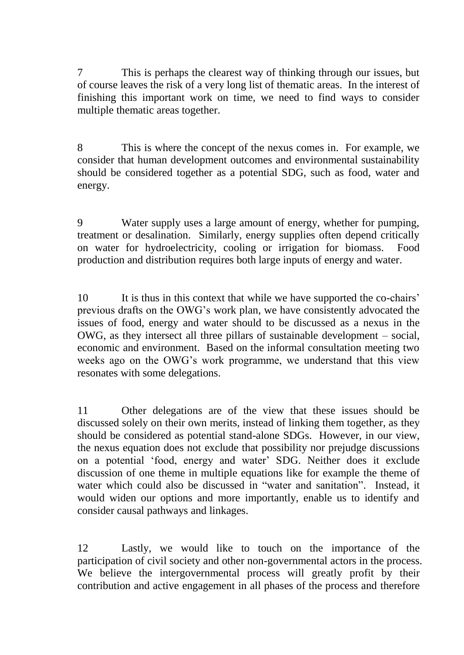7 This is perhaps the clearest way of thinking through our issues, but of course leaves the risk of a very long list of thematic areas. In the interest of finishing this important work on time, we need to find ways to consider multiple thematic areas together.

8 This is where the concept of the nexus comes in. For example, we consider that human development outcomes and environmental sustainability should be considered together as a potential SDG, such as food, water and energy.

9 Water supply uses a large amount of energy, whether for pumping, treatment or desalination. Similarly, energy supplies often depend critically on water for hydroelectricity, cooling or irrigation for biomass. Food production and distribution requires both large inputs of energy and water.

10 It is thus in this context that while we have supported the co-chairs' previous drafts on the OWG's work plan, we have consistently advocated the issues of food, energy and water should to be discussed as a nexus in the OWG, as they intersect all three pillars of sustainable development – social, economic and environment. Based on the informal consultation meeting two weeks ago on the OWG's work programme, we understand that this view resonates with some delegations.

11 Other delegations are of the view that these issues should be discussed solely on their own merits, instead of linking them together, as they should be considered as potential stand-alone SDGs. However, in our view, the nexus equation does not exclude that possibility nor prejudge discussions on a potential 'food, energy and water' SDG. Neither does it exclude discussion of one theme in multiple equations like for example the theme of water which could also be discussed in "water and sanitation". Instead, it would widen our options and more importantly, enable us to identify and consider causal pathways and linkages.

12 Lastly, we would like to touch on the importance of the participation of civil society and other non-governmental actors in the process. We believe the intergovernmental process will greatly profit by their contribution and active engagement in all phases of the process and therefore